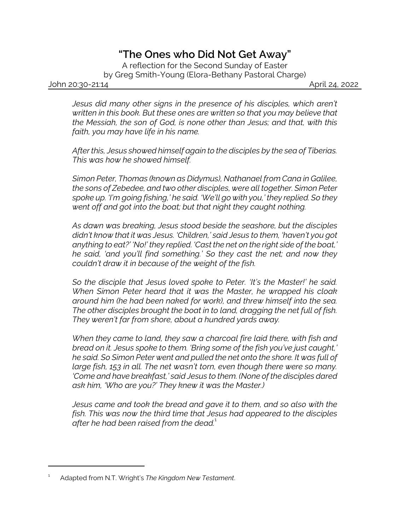## *"The Ones who Did Not Get Away"*

A reflection for the Second Sunday of Easter by Greg Smith-Young (Elora-Bethany Pastoral Charge)

John 20:30-21:14 April 24, 2022

*Jesus did many other signs in the presence of his disciples, which aren't written in this book. But these ones are written so that you may believe that the Messiah, the son of God, is none other than Jesus; and that, with this faith, you may have life in his name.*

*After this, Jesus showed himself again to the disciples by the sea of Tiberias. This was how he showed himself.*

*Simon Peter, Thomas (known as Didymus), Nathanael from Cana in Galilee, the sons of Zebedee, and two other disciples, were all together. Simon Peter spoke up. 'I'm going fishing,' he said. 'We'll go with you,' they replied. So they went off and got into the boat; but that night they caught nothing.*

*As dawn was breaking, Jesus stood beside the seashore, but the disciples didn't know that it was Jesus. 'Children,' said Jesus to them, 'haven't you got anything to eat?' 'No!' they replied. 'Cast the net on the right side of the boat,' he said, 'and you'll find something.' So they cast the net; and now they couldn't draw it in because of the weight of the fish.*

*So the disciple that Jesus loved spoke to Peter. 'It's the Master!' he said. When Simon Peter heard that it was the Master, he wrapped his cloak around him (he had been naked for work), and threw himself into the sea. The other disciples brought the boat in to land, dragging the net full of fish. They weren't far from shore, about a hundred yards away.*

*When they came to land, they saw a charcoal fire laid there, with fish and bread on it. Jesus spoke to them. 'Bring some of the fish you've just caught,' he said. So Simon Peter went and pulled the net onto the shore. It was full of large fish, 153 in all. The net wasn't torn, even though there were so many. 'Come and have breakfast,' said Jesus to them. (None of the disciples dared ask him, 'Who are you?' They knew it was the Master.)*

*Jesus came and took the bread and gave it to them, and so also with the fish. This was now the third time that Jesus had appeared to the disciples after he had been raised from the dead.*<sup>1</sup>

<sup>1</sup> Adapted from N.T. Wright's *The Kingdom New Testament*.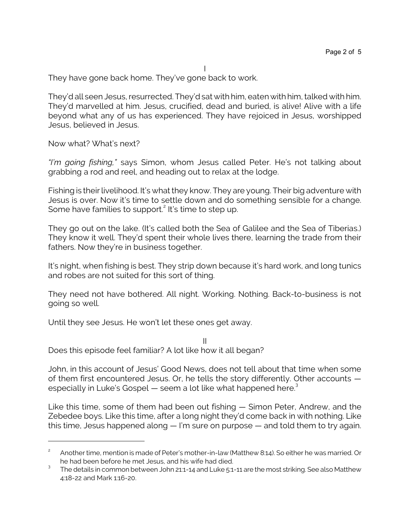I They have gone back home. They've gone back to work.

They'd all seen Jesus, resurrected. They'd sat with him, eaten with him, talked with him. They'd marvelled at him. Jesus, crucified, dead and buried, is alive! Alive with a life beyond what any of us has experienced. They have rejoiced in Jesus, worshipped Jesus, believed in Jesus.

Now what? What's next?

*"I'm going fishing,"* says Simon, whom Jesus called Peter. He's not talking about grabbing a rod and reel, and heading out to relax at the lodge.

Fishing is their livelihood. It's what they know. They are young. Their big adventure with Jesus is over. Now it's time to settle down and do something sensible for a change. Some have families to support.<sup>2</sup> It's time to step up.

They go out on the lake. (It's called both the Sea of Galilee and the Sea of Tiberias.) They know it well. They'd spent their whole lives there, learning the trade from their fathers. Now they're in business together.

It's night, when fishing is best. They strip down because it's hard work, and long tunics and robes are not suited for this sort of thing.

They need not have bothered. All night. Working. Nothing. Back-to-business is not going so well.

Until they see Jesus. He won't let these ones get away.

II Does this episode feel familiar? A lot like how it all began?

John, in this account of Jesus' Good News, does not tell about that time when some of them first encountered Jesus. Or, he tells the story differently. Other accounts especially in Luke's Gospel  $-$  seem a lot like what happened here.<sup>3</sup>

Like this time, some of them had been out fishing — Simon Peter, Andrew, and the Zebedee boys. Like this time, after a long night they'd come back in with nothing. Like this time, Jesus happened along — I'm sure on purpose — and told them to try again.

<sup>2</sup> Another time, mention is made of Peter's mother-in-law (Matthew 8:14). So either he was married. Or he had been before he met Jesus, and his wife had died.

 $^3$  The details in common between John 21:1-14 and Luke 5:1-11 are the most striking. See also Matthew 4:18-22 and Mark 1:16-20.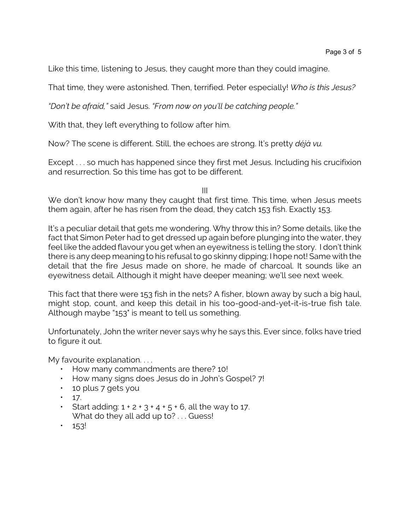Like this time, listening to Jesus, they caught more than they could imagine.

That time, they were astonished. Then, terrified. Peter especially! *Who is this Jesus?*

*"Don't be afraid,"* said Jesus. *"From now on you'll be catching people."*

With that, they left everything to follow after him.

Now? The scene is different. Still, the echoes are strong. It's pretty *déjà vu.*

Except . . . so much has happened since they first met Jesus. Including his crucifixion and resurrection. So this time has got to be different.

III

We don't know how many they caught that first time. This time, when Jesus meets them again, after he has risen from the dead, they catch 153 fish. Exactly 153.

It's a peculiar detail that gets me wondering. Why throw this in? Some details, like the fact that Simon Peter had to get dressed up again before plunging into the water, they feel like the added flavour you get when an eyewitness is telling the story. I don't think there is any deep meaning to his refusal to go skinny dipping; I hope not! Same with the detail that the fire Jesus made on shore, he made of charcoal. It sounds like an eyewitness detail. Although it might have deeper meaning; we'll see next week.

This fact that there were 153 fish in the nets? A fisher, blown away by such a big haul, might stop, count, and keep this detail in his too-good-and-yet-it-is-true fish tale. Although maybe "153" is meant to tell us something.

Unfortunately, John the writer never says why he says this. Ever since, folks have tried to figure it out.

My favourite explanation....

- How many commandments are there? 10!
- How many signs does Jesus do in John's Gospel? 7!
- 10 plus 7 gets you
- $\cdot$  17.
- Start adding:  $1 + 2 + 3 + 4 + 5 + 6$ , all the way to 17. What do they all add up to? . . . Guess!
- $\cdot$  153!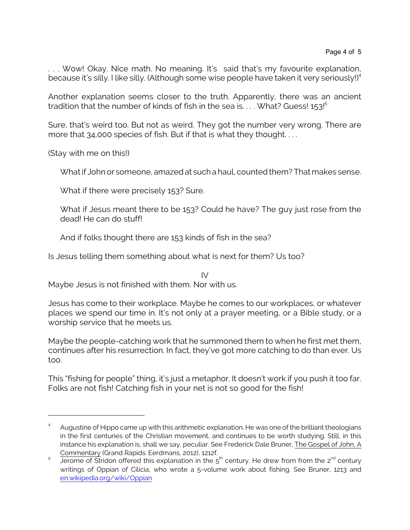. . . Wow! Okay. Nice math. No meaning. It's said that's my favourite explanation, because it's silly. I like silly. (Although some wise people have taken it very seriously!)<sup>4</sup>

Another explanation seems closer to the truth. Apparently, there was an ancient tradition that the number of kinds of fish in the sea is.... What? Guess!  $153!^5$ 

Sure, that's weird too. But not as weird. They got the number very wrong. There are more that 34,000 species of fish. But if that is what they thought....

(Stay with me on this!)

Whatif John or someone, amazed at such a haul, counted them? That makes sense.

What if there were precisely 153? Sure.

What if Jesus meant there to be 153? Could he have? The guy just rose from the dead! He can do stuff!

And if folks thought there are 153 kinds of fish in the sea?

Is Jesus telling them something about what is next for them? Us too?

IV Maybe Jesus is not finished with them. Nor with us.

Jesus has come to their workplace. Maybe he comes to our workplaces, or whatever places we spend our time in. It's not only at a prayer meeting, or a Bible study, or a worship service that he meets us.

Maybe the people-catching work that he summoned them to when he first met them, continues after his resurrection. In fact, they've got more catching to do than ever. Us too.

This "fishing for people" thing, it's just a metaphor. It doesn't work if you push it too far. Folks are not fish! Catching fish in your net is not so good for the fish!

<sup>4</sup> Augustine of Hippo came up with this arithmetic explanation. He was one of the brilliant theologians in the first centuries of the Christian movement, and continues to be worth studying. Still, in this instance his explanation is, shall we say, peculiar. See Frederick Dale Bruner, The Gospel of John, A Commentary (Grand Rapids: Eerdmans, 2012), 1212f.

<sup>5</sup> Jerome of Stridon offered this explanation in the  $5<sup>th</sup>$  century. He drew from from the 2<sup>nd</sup> century writings of Oppian of Cilicia, who wrote a 5-volume work about fishing. See Bruner, 1213 and [en.wikipedia.org/wiki/Oppian](https://en.wikipedia.org/wiki/Oppian)